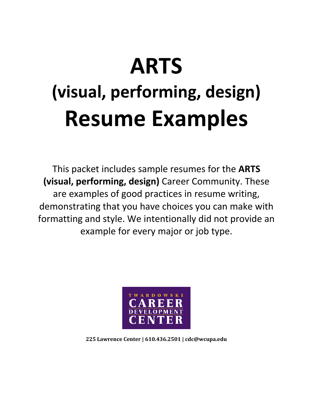# **ARTS (visual, performing, design) Resume Examples**

This packet includes sample resumes for the **ARTS (visual, performing, design)** Career Community. These are examples of good practices in resume writing, demonstrating that you have choices you can make with formatting and style. We intentionally did not provide an example for every major or job type.



**225 Lawrence Center | 610.436.2501 | cdc@wcupa.edu**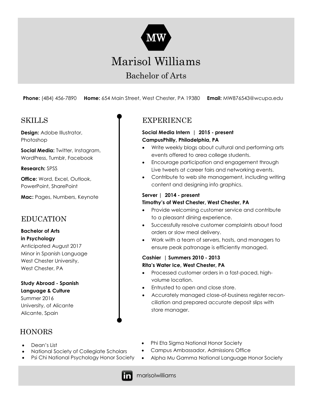

# Marisol Williams

## Bachelor of Arts

**Phone:** (484) 456-7890 **Home:** 654 Main Street, West Chester, PA 19380 **Email:** MW876543@wcupa.edu

## **SKILLS**

**Design:** Adobe Illustrator, Photoshop

**Social Media: Twitter, Instagram,** WordPress, Tumblr, Facebook

#### **Research:** SPSS

**Office:** Word, Excel, Outlook, PowerPoint, SharePoint

**Mac:** Pages, Numbers, Keynote

## **EDUCATION**

#### **Bachelor of Arts in Psychology**

Anticipated August 2017 Minor in Spanish Language West Chester University, West Chester, PA

#### **Study Abroad - Spanish Language & Culture**

Summer 2016 University, of Alicante Alicante, Spain

## HONORS

- Dean's List
- National Society of Collegiate Scholars
- Psi Chi National Psychology Honor Society

## **EXPERIENCE**

**Social Media Intern | 2015 - present CampusPhilly, Philadelphia, PA**

- Write weekly blogs about cultural and performing arts events offered to area college students.
- Encourage participation and engagement through Live tweets at career fairs and networking events.
- Contribute to web site management, including writing content and designing info graphics.

#### **Server | 2014 - present Timothy's of West Chester, West Chester, PA**

- Provide welcoming customer service and contribute to a pleasant dining experience.
- Successfully resolve customer complaints about food orders or slow meal delivery.
- Work with a team of servers, hosts, and managers to ensure peak patronage is efficiently managed.

#### **Cashier | Summers 2010 - 2013 Rita's Water Ice, West Chester, PA**

- Processed customer orders in a fast-paced, highvolume location.
- Entrusted to open and close store.
- Accurately managed close-of-business register reconciliation and prepared accurate deposit slips with store manager.
- Phi Eta Sigma National Honor Society
- Campus Ambassador, Admissions Office
- Alpha Mu Gamma National Language Honor Society

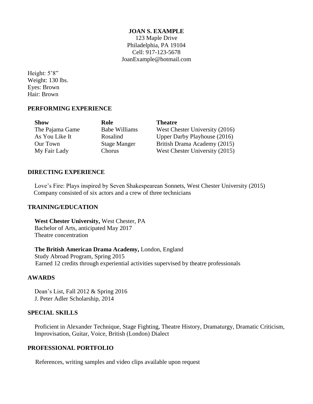#### **JOAN S. EXAMPLE**

123 Maple Drive Philadelphia, PA 19104 Cell: 917-123-5678 JoanExample@hotmail.com

Height: 5'8" Weight: 130 lbs. Eyes: Brown Hair: Brown

#### **PERFORMING EXPERIENCE**

**Show Role Role Theatre** The Pajama Game Babe Williams West Chester University (2016) As You Like It Rosalind Upper Darby Playhouse (2016) Our Town Stage Manger British Drama Academy (2015) My Fair Lady Chorus West Chester University (2015)

#### **DIRECTING EXPERIENCE**

Love's Fire: Plays inspired by Seven Shakespearean Sonnets, West Chester University (2015) Company consisted of six actors and a crew of three technicians

#### **TRAINING/EDUCATION**

**West Chester University,** West Chester, PA Bachelor of Arts, anticipated May 2017 Theatre concentration

**The British American Drama Academy,** London, England Study Abroad Program, Spring 2015 Earned 12 credits through experiential activities supervised by theatre professionals

#### **AWARDS**

Dean's List, Fall 2012 & Spring 2016 J. Peter Adler Scholarship, 2014

#### **SPECIAL SKILLS**

Proficient in Alexander Technique, Stage Fighting, Theatre History, Dramaturgy, Dramatic Criticism, Improvisation, Guitar, Voice, British (London) Dialect

#### **PROFESSIONAL PORTFOLIO**

References, writing samples and video clips available upon request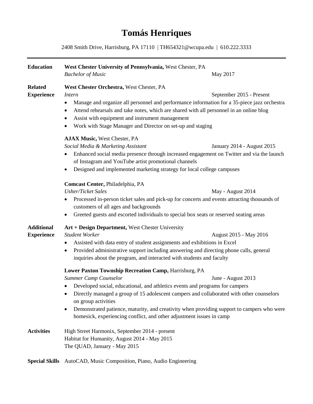## **Tomás Henriques**

2408 Smith Drive, Harrisburg, PA 17110 | TH654321@wcupa.edu |610.222.3333

**Education West Chester University of Pennsylvania,** West Chester, PA **Bachelor of Music** May 2017 **Related West Chester Orchestra,** West Chester, PA **Experience** *Intern* September 2015 - Present Manage and organize all personnel and performance information for a 35-piece jazz orchestra Attend rehearsals and take notes, which are shared with all personnel in an online blog Assist with equipment and instrument management Work with Stage Manager and Director on set-up and staging **AJAX Music,** West Chester, PA *Social Media & Marketing Assistant* January 2014 - August 2015 Enhanced social media presence through increased engagement on Twitter and via the launch of Instagram and YouTube artist promotional channels • Designed and implemented marketing strategy for local college campuses **Comcast Center,** Philadelphia, PA *Usher/Ticket Sales* May - August 2014 • Processed in-person ticket sales and pick-up for concerts and events attracting thousands of customers of all ages and backgrounds Greeted guests and escorted individuals to special box seats or reserved seating areas **Additional Art + Design Department,** West Chester University **Experience** *Student Worker* **August 2015 - May 2016**  Assisted with data entry of student assignments and exhibitions in Excel Provided administrative support including answering and directing phone calls, general inquiries about the program, and interacted with students and faculty **Lower Paxton Township Recreation Camp,** Harrisburg, PA *Summer Camp Counselor* June - August 2013 Developed social, educational, and athletics events and programs for campers Directly managed a group of 15 adolescent campers and collaborated with other counselors on group activities Demonstrated patience, maturity, and creativity when providing support to campers who were homesick, experiencing conflict, and other adjustment issues in camp Activities High Street Harmonix, September 2014 - present Habitat for Humanity, August 2014 - May 2015 The QUAD, January - May 2015

**Special Skills** AutoCAD, Music Composition, Piano, Audio Engineering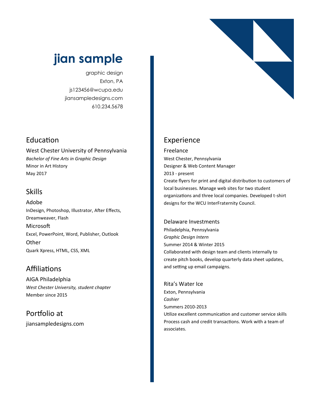## **jian sample**

graphic design Exton, PA js123456@wcupa.edu jiansampledesigns.com 610.234.5678

## Education

West Chester University of Pennsylvania *Bachelor of Fine Arts in Graphic Design* Minor in Art History May 2017

## Skills

Adobe InDesign, Photoshop, Illustrator, After Effects, Dreamweaver, Flash Microsoft Excel, PowerPoint, Word, Publisher, Outlook **Other** Quark Xpress, HTML, CSS, XML

## Affiliations

AIGA Philadelphia *West Chester University, student chapter* Member since 2015

Portfolio at jiansampledesigns.com



## Experience

Freelance West Chester, Pennsylvania Designer & Web Content Manager 2013 - present Create flyers for print and digital distribution to customers of local businesses. Manage web sites for two student organizations and three local companies. Developed t-shirt designs for the WCU InterFraternity Council.

#### Delaware Investments

Philadelphia, Pennsylvania *Graphic Design Intern* Summer 2014 & Winter 2015 Collaborated with design team and clients internally to create pitch books, develop quarterly data sheet updates, and setting up email campaigns.

Rita's Water Ice Exton, Pennsylvania *Cashier* Summers 2010-2013 Utilize excellent communication and customer service skills Process cash and credit transactions. Work with a team of associates.